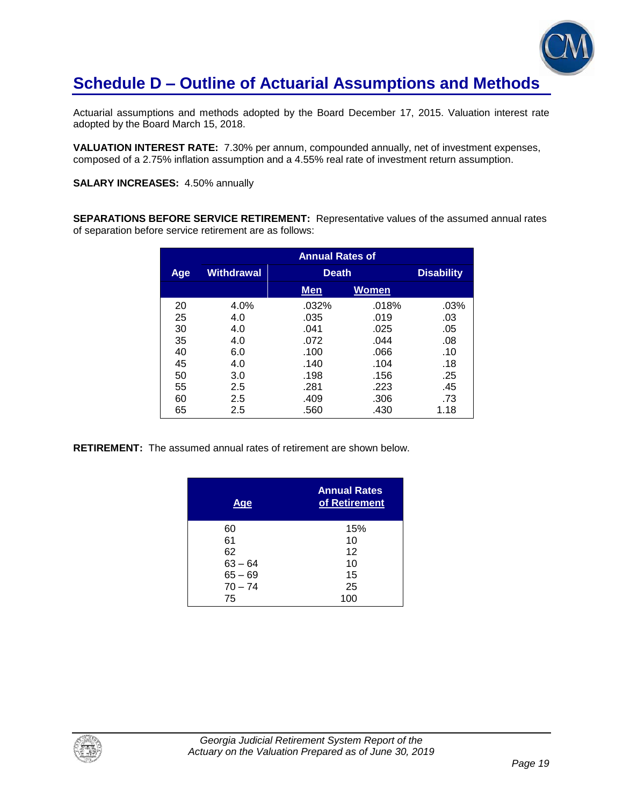## **Schedule D – Outline of Actuarial Assumptions and Methods**

Actuarial assumptions and methods adopted by the Board December 17, 2015. Valuation interest rate adopted by the Board March 15, 2018.

**VALUATION INTEREST RATE:** 7.30% per annum, compounded annually, net of investment expenses, composed of a 2.75% inflation assumption and a 4.55% real rate of investment return assumption.

**SALARY INCREASES:** 4.50% annually

**SEPARATIONS BEFORE SERVICE RETIREMENT:** Representative values of the assumed annual rates of separation before service retirement are as follows:

|     | <b>Annual Rates of</b> |              |              |                   |
|-----|------------------------|--------------|--------------|-------------------|
| Age | Withdrawal             | <b>Death</b> |              | <b>Disability</b> |
|     |                        | <b>Men</b>   | <b>Women</b> |                   |
| 20  | 4.0%                   | .032%        | .018%        | .03%              |
| 25  | 4.0                    | .035         | .019         | .03               |
| 30  | 4.0                    | .041         | .025         | .05               |
| 35  | 4.0                    | .072         | .044         | .08               |
| 40  | 6.0                    | .100         | .066         | .10               |
| 45  | 4.0                    | .140         | .104         | .18               |
| 50  | 3.0                    | .198         | .156         | .25               |
| 55  | 2.5                    | .281         | .223         | .45               |
| 60  | 2.5                    | .409         | .306         | .73               |
| 65  | 2.5                    | .560         | .430         | 1.18              |

**RETIREMENT:** The assumed annual rates of retirement are shown below.

| <u>Age</u> | <b>Annual Rates</b><br>of Retirement |
|------------|--------------------------------------|
| 60         | 15%                                  |
| 61         | 10                                   |
| 62         | 12                                   |
| $63 - 64$  | 10                                   |
| $65 - 69$  | 15                                   |
| $70 - 74$  | 25                                   |
| 75         | 100                                  |

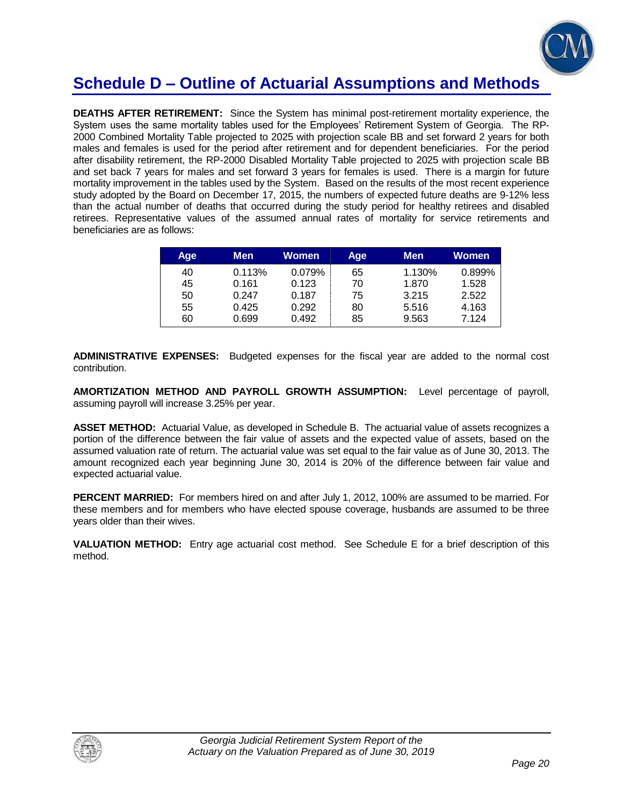

### **Schedule D – Outline of Actuarial Assumptions and Methods**

**DEATHS AFTER RETIREMENT:** Since the System has minimal post-retirement mortality experience, the System uses the same mortality tables used for the Employees' Retirement System of Georgia. The RP-2000 Combined Mortality Table projected to 2025 with projection scale BB and set forward 2 years for both males and females is used for the period after retirement and for dependent beneficiaries. For the period after disability retirement, the RP-2000 Disabled Mortality Table projected to 2025 with projection scale BB and set back 7 years for males and set forward 3 years for females is used. There is a margin for future mortality improvement in the tables used by the System. Based on the results of the most recent experience study adopted by the Board on December 17, 2015, the numbers of expected future deaths are 9-12% less than the actual number of deaths that occurred during the study period for healthy retirees and disabled retirees. Representative values of the assumed annual rates of mortality for service retirements and beneficiaries are as follows:

| Age | <b>Men</b> | Women  | Age | <b>Men</b> | Women  |
|-----|------------|--------|-----|------------|--------|
| 40  | 0.113%     | 0.079% | 65  | 1.130%     | 0.899% |
| 45  | 0.161      | 0.123  | 70  | 1.870      | 1.528  |
| 50  | 0.247      | 0.187  | 75  | 3.215      | 2.522  |
| 55  | 0.425      | 0.292  | 80  | 5.516      | 4.163  |
| 60  | 0.699      | 0.492  | 85  | 9.563      | 7.124  |

**ADMINISTRATIVE EXPENSES:** Budgeted expenses for the fiscal year are added to the normal cost contribution.

**AMORTIZATION METHOD AND PAYROLL GROWTH ASSUMPTION:** Level percentage of payroll, assuming payroll will increase 3.25% per year.

**ASSET METHOD:** Actuarial Value, as developed in Schedule B. The actuarial value of assets recognizes a portion of the difference between the fair value of assets and the expected value of assets, based on the assumed valuation rate of return. The actuarial value was set equal to the fair value as of June 30, 2013. The amount recognized each year beginning June 30, 2014 is 20% of the difference between fair value and expected actuarial value.

**PERCENT MARRIED:** For members hired on and after July 1, 2012, 100% are assumed to be married. For these members and for members who have elected spouse coverage, husbands are assumed to be three years older than their wives.

**VALUATION METHOD:** Entry age actuarial cost method. See Schedule E for a brief description of this method.

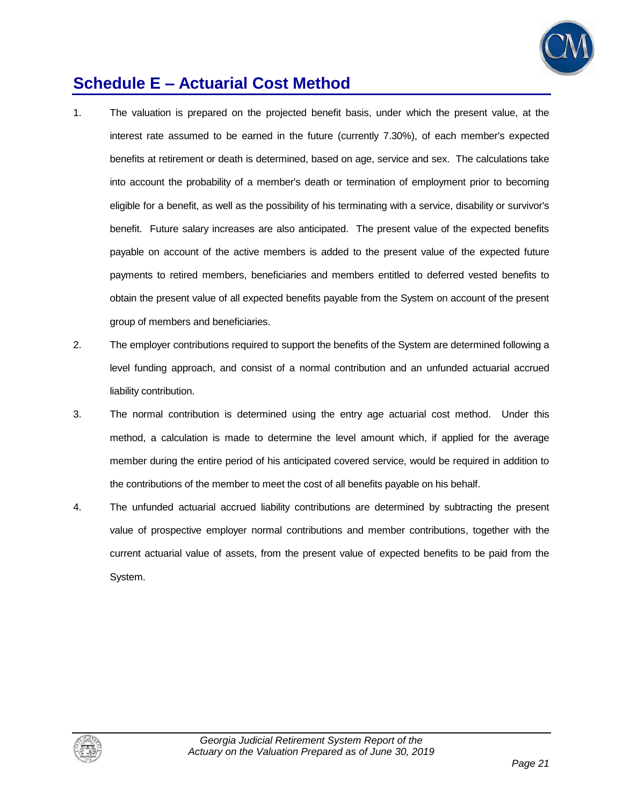

## **Schedule E – Actuarial Cost Method**

- 1. The valuation is prepared on the projected benefit basis, under which the present value, at the interest rate assumed to be earned in the future (currently 7.30%), of each member's expected benefits at retirement or death is determined, based on age, service and sex. The calculations take into account the probability of a member's death or termination of employment prior to becoming eligible for a benefit, as well as the possibility of his terminating with a service, disability or survivor's benefit. Future salary increases are also anticipated. The present value of the expected benefits payable on account of the active members is added to the present value of the expected future payments to retired members, beneficiaries and members entitled to deferred vested benefits to obtain the present value of all expected benefits payable from the System on account of the present group of members and beneficiaries.
- 2. The employer contributions required to support the benefits of the System are determined following a level funding approach, and consist of a normal contribution and an unfunded actuarial accrued liability contribution.
- 3. The normal contribution is determined using the entry age actuarial cost method. Under this method, a calculation is made to determine the level amount which, if applied for the average member during the entire period of his anticipated covered service, would be required in addition to the contributions of the member to meet the cost of all benefits payable on his behalf.
- 4. The unfunded actuarial accrued liability contributions are determined by subtracting the present value of prospective employer normal contributions and member contributions, together with the current actuarial value of assets, from the present value of expected benefits to be paid from the System.

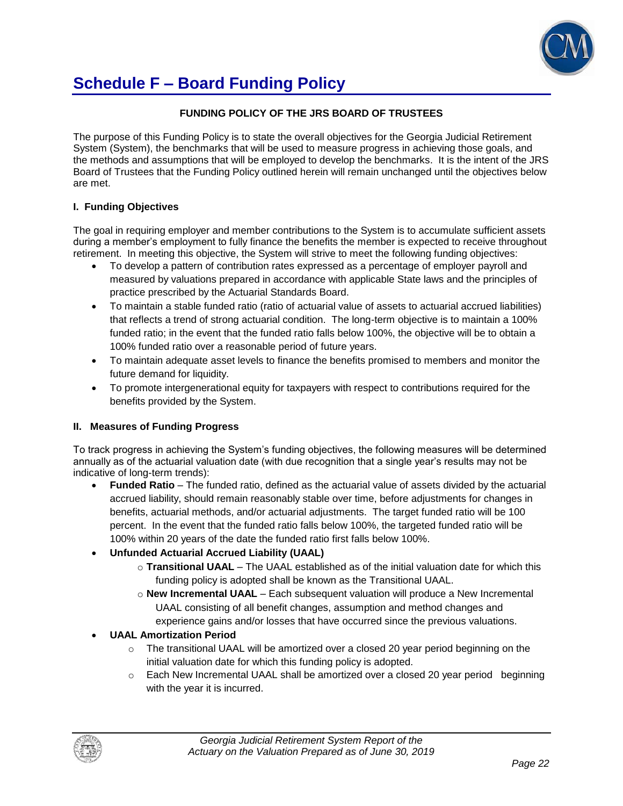

## **Schedule F – Board Funding Policy**

#### **FUNDING POLICY OF THE JRS BOARD OF TRUSTEES**

The purpose of this Funding Policy is to state the overall objectives for the Georgia Judicial Retirement System (System), the benchmarks that will be used to measure progress in achieving those goals, and the methods and assumptions that will be employed to develop the benchmarks. It is the intent of the JRS Board of Trustees that the Funding Policy outlined herein will remain unchanged until the objectives below are met.

#### **I. Funding Objectives**

The goal in requiring employer and member contributions to the System is to accumulate sufficient assets during a member's employment to fully finance the benefits the member is expected to receive throughout retirement. In meeting this objective, the System will strive to meet the following funding objectives:

- To develop a pattern of contribution rates expressed as a percentage of employer payroll and measured by valuations prepared in accordance with applicable State laws and the principles of practice prescribed by the Actuarial Standards Board.
- To maintain a stable funded ratio (ratio of actuarial value of assets to actuarial accrued liabilities) that reflects a trend of strong actuarial condition. The long-term objective is to maintain a 100% funded ratio; in the event that the funded ratio falls below 100%, the objective will be to obtain a 100% funded ratio over a reasonable period of future years.
- To maintain adequate asset levels to finance the benefits promised to members and monitor the future demand for liquidity.
- To promote intergenerational equity for taxpayers with respect to contributions required for the benefits provided by the System.

#### **II. Measures of Funding Progress**

To track progress in achieving the System's funding objectives, the following measures will be determined annually as of the actuarial valuation date (with due recognition that a single year's results may not be indicative of long-term trends):

 **Funded Ratio** – The funded ratio, defined as the actuarial value of assets divided by the actuarial accrued liability, should remain reasonably stable over time, before adjustments for changes in benefits, actuarial methods, and/or actuarial adjustments. The target funded ratio will be 100 percent. In the event that the funded ratio falls below 100%, the targeted funded ratio will be 100% within 20 years of the date the funded ratio first falls below 100%.

#### **Unfunded Actuarial Accrued Liability (UAAL)**

- o **Transitional UAAL** The UAAL established as of the initial valuation date for which this funding policy is adopted shall be known as the Transitional UAAL.
- o **New Incremental UAAL** Each subsequent valuation will produce a New Incremental UAAL consisting of all benefit changes, assumption and method changes and experience gains and/or losses that have occurred since the previous valuations.

#### **UAAL Amortization Period**

- $\circ$  The transitional UAAL will be amortized over a closed 20 year period beginning on the initial valuation date for which this funding policy is adopted.
- $\circ$  Each New Incremental UAAL shall be amortized over a closed 20 year period beginning with the year it is incurred.

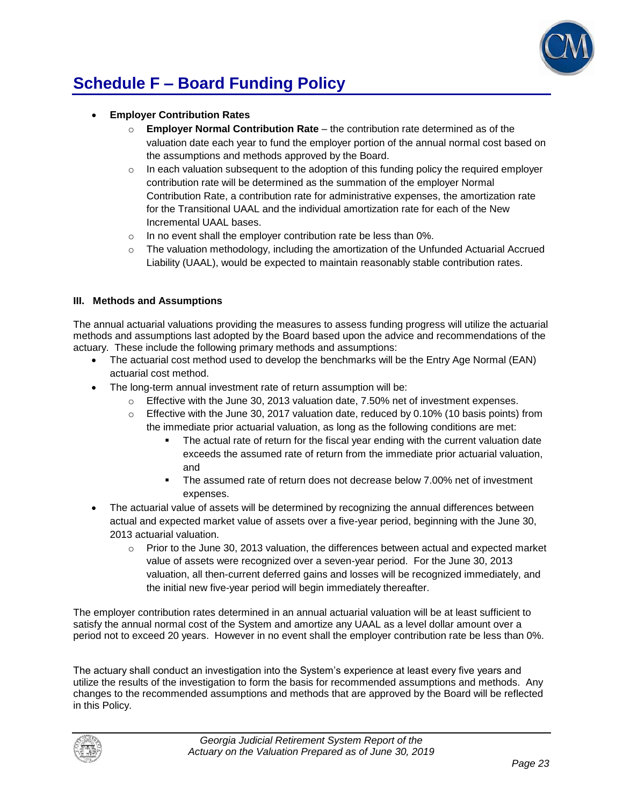

# **Schedule F – Board Funding Policy**

#### **Employer Contribution Rates**

- o **Employer Normal Contribution Rate**  the contribution rate determined as of the valuation date each year to fund the employer portion of the annual normal cost based on the assumptions and methods approved by the Board.
- $\circ$  In each valuation subsequent to the adoption of this funding policy the required employer contribution rate will be determined as the summation of the employer Normal Contribution Rate, a contribution rate for administrative expenses, the amortization rate for the Transitional UAAL and the individual amortization rate for each of the New Incremental UAAL bases.
- o In no event shall the employer contribution rate be less than 0%.
- $\circ$  The valuation methodology, including the amortization of the Unfunded Actuarial Accrued Liability (UAAL), would be expected to maintain reasonably stable contribution rates.

#### **III. Methods and Assumptions**

The annual actuarial valuations providing the measures to assess funding progress will utilize the actuarial methods and assumptions last adopted by the Board based upon the advice and recommendations of the actuary. These include the following primary methods and assumptions:

- The actuarial cost method used to develop the benchmarks will be the Entry Age Normal (EAN) actuarial cost method.
- The long-term annual investment rate of return assumption will be:
	- $\circ$  Effective with the June 30, 2013 valuation date, 7.50% net of investment expenses.
	- $\circ$  Effective with the June 30, 2017 valuation date, reduced by 0.10% (10 basis points) from the immediate prior actuarial valuation, as long as the following conditions are met:
		- The actual rate of return for the fiscal year ending with the current valuation date exceeds the assumed rate of return from the immediate prior actuarial valuation, and
		- The assumed rate of return does not decrease below 7.00% net of investment expenses.
- The actuarial value of assets will be determined by recognizing the annual differences between actual and expected market value of assets over a five-year period, beginning with the June 30, 2013 actuarial valuation.
	- $\circ$  Prior to the June 30, 2013 valuation, the differences between actual and expected market value of assets were recognized over a seven-year period. For the June 30, 2013 valuation, all then-current deferred gains and losses will be recognized immediately, and the initial new five-year period will begin immediately thereafter.

The employer contribution rates determined in an annual actuarial valuation will be at least sufficient to satisfy the annual normal cost of the System and amortize any UAAL as a level dollar amount over a period not to exceed 20 years. However in no event shall the employer contribution rate be less than 0%.

The actuary shall conduct an investigation into the System's experience at least every five years and utilize the results of the investigation to form the basis for recommended assumptions and methods. Any changes to the recommended assumptions and methods that are approved by the Board will be reflected in this Policy.

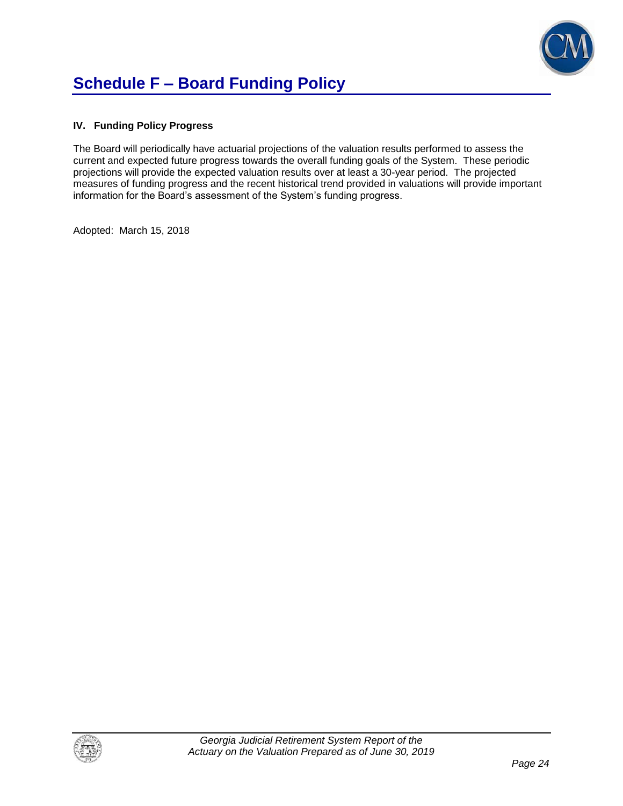

#### **IV. Funding Policy Progress**

The Board will periodically have actuarial projections of the valuation results performed to assess the current and expected future progress towards the overall funding goals of the System. These periodic projections will provide the expected valuation results over at least a 30-year period. The projected measures of funding progress and the recent historical trend provided in valuations will provide important information for the Board's assessment of the System's funding progress.

Adopted: March 15, 2018

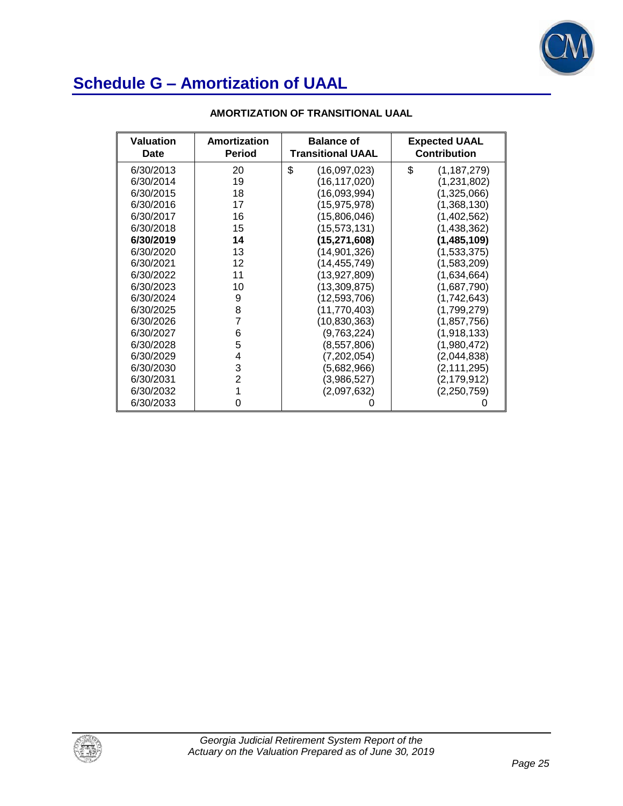

| <b>Valuation</b><br><b>Date</b> | Amortization<br><b>Period</b> | <b>Balance of</b><br><b>Transitional UAAL</b> | <b>Expected UAAL</b><br><b>Contribution</b> |
|---------------------------------|-------------------------------|-----------------------------------------------|---------------------------------------------|
| 6/30/2013                       | 20                            | \$<br>(16,097,023)                            | \$<br>(1, 187, 279)                         |
| 6/30/2014                       | 19                            | (16,117,020)                                  | (1,231,802)                                 |
| 6/30/2015                       | 18                            | (16,093,994)                                  | (1,325,066)                                 |
| 6/30/2016                       | 17                            | (15,975,978)                                  | (1,368,130)                                 |
| 6/30/2017                       | 16                            | (15,806,046)                                  | (1,402,562)                                 |
| 6/30/2018                       | 15                            | (15,573,131)                                  | (1,438,362)                                 |
| 6/30/2019                       | 14                            | (15, 271, 608)                                | (1,485,109)                                 |
| 6/30/2020                       | 13                            | (14,901,326)                                  | (1,533,375)                                 |
| 6/30/2021                       | 12                            | (14, 455, 749)                                | (1,583,209)                                 |
| 6/30/2022                       | 11                            | (13, 927, 809)                                | (1,634,664)                                 |
| 6/30/2023                       | 10                            | (13, 309, 875)                                | (1,687,790)                                 |
| 6/30/2024                       | 9                             | (12, 593, 706)                                | (1,742,643)                                 |
| 6/30/2025                       | 8                             | (11, 770, 403)                                | (1,799,279)                                 |
| 6/30/2026                       | 7                             | (10, 830, 363)                                | (1, 857, 756)                               |
| 6/30/2027                       | 6                             | (9,763,224)                                   | (1,918,133)                                 |
| 6/30/2028                       | 5                             | (8,557,806)                                   | (1,980,472)                                 |
| 6/30/2029                       | 4                             | (7,202,054)                                   | (2,044,838)                                 |
| 6/30/2030                       | 3                             | (5,682,966)                                   | (2, 111, 295)                               |
| 6/30/2031                       | 2                             | (3,986,527)                                   | (2, 179, 912)                               |
| 6/30/2032                       | 1                             | (2,097,632)                                   | (2, 250, 759)                               |
| 6/30/2033                       | 0                             |                                               |                                             |

### **AMORTIZATION OF TRANSITIONAL UAAL**

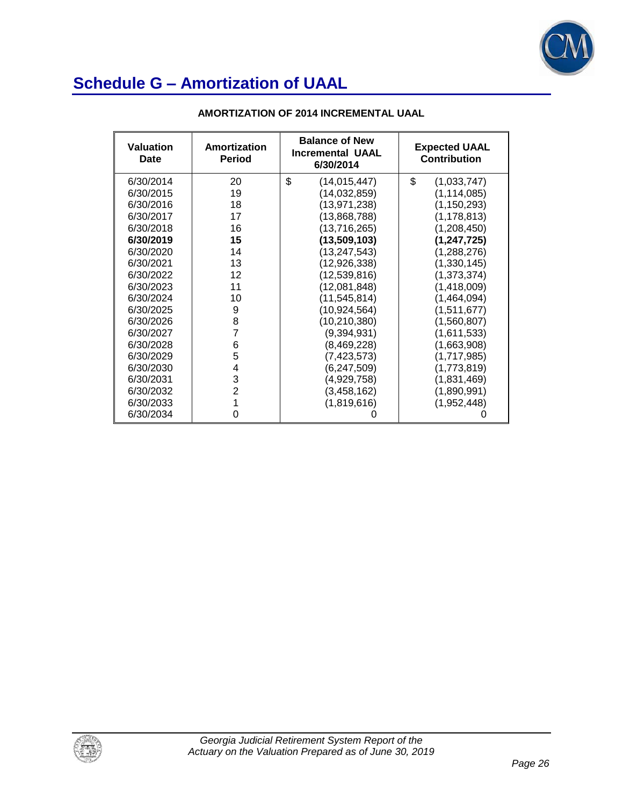

| <b>Valuation</b><br>Date | Amortization<br><b>Period</b> | <b>Balance of New</b><br><b>Incremental UAAL</b><br>6/30/2014 | <b>Expected UAAL</b><br><b>Contribution</b> |
|--------------------------|-------------------------------|---------------------------------------------------------------|---------------------------------------------|
| 6/30/2014                | 20                            | \$<br>(14, 015, 447)                                          | \$<br>(1,033,747)                           |
| 6/30/2015                | 19                            | (14, 032, 859)                                                | (1, 114, 085)                               |
| 6/30/2016                | 18                            | (13, 971, 238)                                                | (1, 150, 293)                               |
| 6/30/2017                | 17                            | (13,868,788)                                                  | (1, 178, 813)                               |
| 6/30/2018                | 16                            | (13,716,265)                                                  | (1,208,450)                                 |
| 6/30/2019                | 15                            | (13,509,103)                                                  | (1, 247, 725)                               |
| 6/30/2020                | 14                            | (13, 247, 543)                                                | (1,288,276)                                 |
| 6/30/2021                | 13                            | (12, 926, 338)                                                | (1,330,145)                                 |
| 6/30/2022                | 12                            | (12,539,816)                                                  | (1,373,374)                                 |
| 6/30/2023                | 11                            | (12,081,848)                                                  | (1,418,009)                                 |
| 6/30/2024                | 10                            | (11, 545, 814)                                                | (1,464,094)                                 |
| 6/30/2025                | 9                             | (10, 924, 564)                                                | (1,511,677)                                 |
| 6/30/2026                | 8                             | (10, 210, 380)                                                | (1,560,807)                                 |
| 6/30/2027                | $\overline{7}$                | (9,394,931)                                                   | (1,611,533)                                 |
| 6/30/2028                | 6                             | (8,469,228)                                                   | (1,663,908)                                 |
| 6/30/2029                | 5                             | (7, 423, 573)                                                 | (1,717,985)                                 |
| 6/30/2030                | 4                             | (6, 247, 509)                                                 | (1,773,819)                                 |
| 6/30/2031                | 3                             | (4,929,758)                                                   | (1,831,469)                                 |
| 6/30/2032                | $\overline{2}$                | (3,458,162)                                                   | (1,890,991)                                 |
| 6/30/2033                | 1                             | (1,819,616)                                                   | (1,952,448)                                 |
| 6/30/2034                | 0                             |                                                               |                                             |

### **AMORTIZATION OF 2014 INCREMENTAL UAAL**

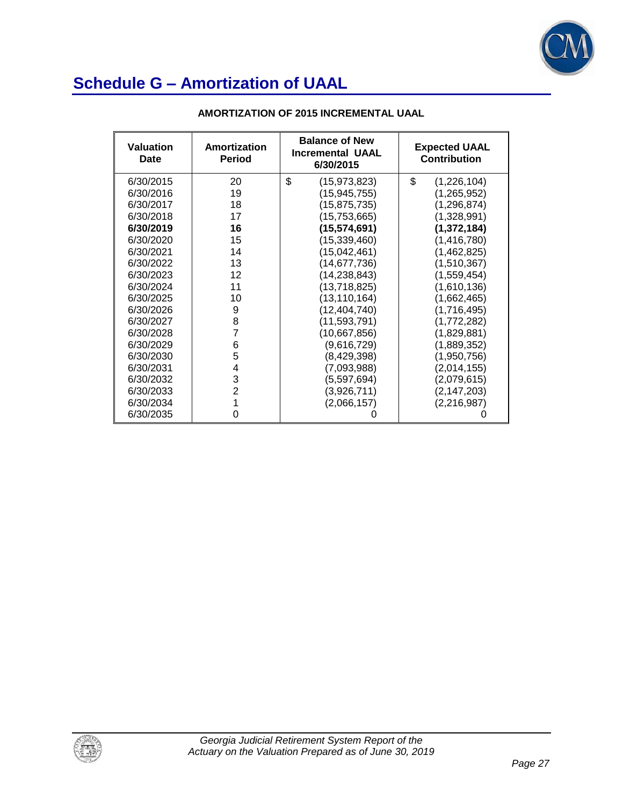

| <b>Valuation</b><br>Date | Amortization<br><b>Period</b> | <b>Balance of New</b><br><b>Incremental UAAL</b><br>6/30/2015 | <b>Expected UAAL</b><br><b>Contribution</b> |
|--------------------------|-------------------------------|---------------------------------------------------------------|---------------------------------------------|
| 6/30/2015                | 20                            | \$<br>(15, 973, 823)                                          | \$<br>(1,226,104)                           |
| 6/30/2016                | 19                            | (15, 945, 755)                                                | (1,265,952)                                 |
| 6/30/2017                | 18                            | (15, 875, 735)                                                | (1, 296, 874)                               |
| 6/30/2018                | 17                            | (15, 753, 665)                                                | (1,328,991)                                 |
| 6/30/2019                | 16                            | (15, 574, 691)                                                | (1, 372, 184)                               |
| 6/30/2020                | 15                            | (15, 339, 460)                                                | (1,416,780)                                 |
| 6/30/2021                | 14                            | (15,042,461)                                                  | (1,462,825)                                 |
| 6/30/2022                | 13                            | (14, 677, 736)                                                | (1,510,367)                                 |
| 6/30/2023                | 12                            | (14, 238, 843)                                                | (1,559,454)                                 |
| 6/30/2024                | 11                            | (13,718,825)                                                  | (1,610,136)                                 |
| 6/30/2025                | 10                            | (13, 110, 164)                                                | (1,662,465)                                 |
| 6/30/2026                | 9                             | (12, 404, 740)                                                | (1,716,495)                                 |
| 6/30/2027                | 8                             | (11,593,791)                                                  | (1,772,282)                                 |
| 6/30/2028                | $\overline{7}$                | (10,667,856)                                                  | (1,829,881)                                 |
| 6/30/2029                | 6                             | (9,616,729)                                                   | (1,889,352)                                 |
| 6/30/2030                | 5                             | (8,429,398)                                                   | (1,950,756)                                 |
| 6/30/2031                | 4                             | (7,093,988)                                                   | (2,014,155)                                 |
| 6/30/2032                | 3                             | (5,597,694)                                                   | (2,079,615)                                 |
| 6/30/2033                | $\overline{2}$                | (3,926,711)                                                   | (2, 147, 203)                               |
| 6/30/2034                | 1                             | (2,066,157)                                                   | (2, 216, 987)                               |
| 6/30/2035                | 0                             |                                                               |                                             |

### **AMORTIZATION OF 2015 INCREMENTAL UAAL**

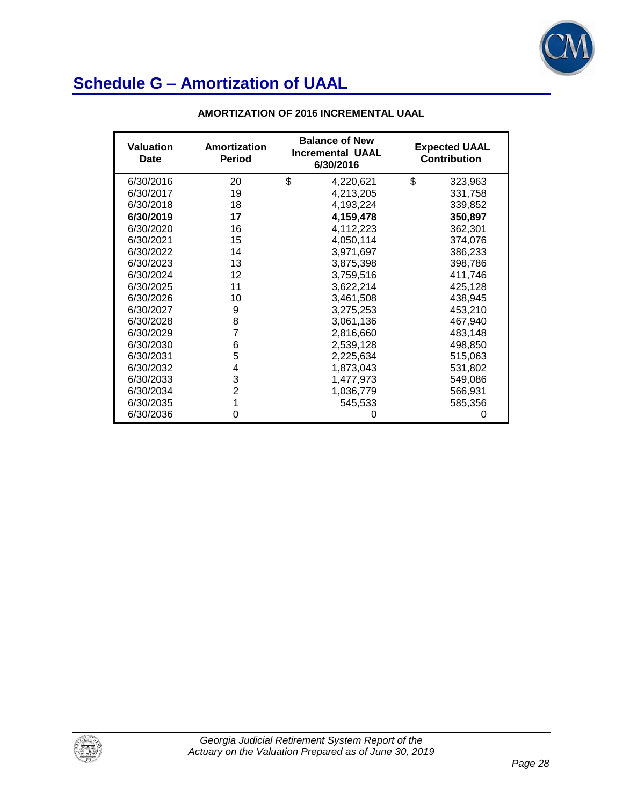

| <b>Valuation</b><br>Date | Amortization<br><b>Period</b> | <b>Balance of New</b><br><b>Incremental UAAL</b><br>6/30/2016 | <b>Expected UAAL</b><br><b>Contribution</b> |
|--------------------------|-------------------------------|---------------------------------------------------------------|---------------------------------------------|
| 6/30/2016                | 20                            | \$<br>4,220,621                                               | \$<br>323,963                               |
| 6/30/2017                | 19                            | 4,213,205                                                     | 331,758                                     |
| 6/30/2018                | 18                            | 4,193,224                                                     | 339,852                                     |
| 6/30/2019                | 17                            | 4,159,478                                                     | 350,897                                     |
| 6/30/2020                | 16                            | 4,112,223                                                     | 362,301                                     |
| 6/30/2021                | 15                            | 4,050,114                                                     | 374,076                                     |
| 6/30/2022                | 14                            | 3,971,697                                                     | 386,233                                     |
| 6/30/2023                | 13                            | 3,875,398                                                     | 398,786                                     |
| 6/30/2024                | 12                            | 3,759,516                                                     | 411,746                                     |
| 6/30/2025                | 11                            | 3,622,214                                                     | 425,128                                     |
| 6/30/2026                | 10                            | 3,461,508                                                     | 438,945                                     |
| 6/30/2027                | 9                             | 3,275,253                                                     | 453,210                                     |
| 6/30/2028                | 8                             | 3,061,136                                                     | 467,940                                     |
| 6/30/2029                | 7                             | 2,816,660                                                     | 483,148                                     |
| 6/30/2030                | 6                             | 2,539,128                                                     | 498,850                                     |
| 6/30/2031                | 5                             | 2,225,634                                                     | 515,063                                     |
| 6/30/2032                | 4                             | 1,873,043                                                     | 531,802                                     |
| 6/30/2033                | 3                             | 1,477,973                                                     | 549,086                                     |
| 6/30/2034                | $\overline{2}$                | 1,036,779                                                     | 566,931                                     |
| 6/30/2035                |                               | 545,533                                                       | 585,356                                     |
| 6/30/2036                | 0                             |                                                               |                                             |

### **AMORTIZATION OF 2016 INCREMENTAL UAAL**

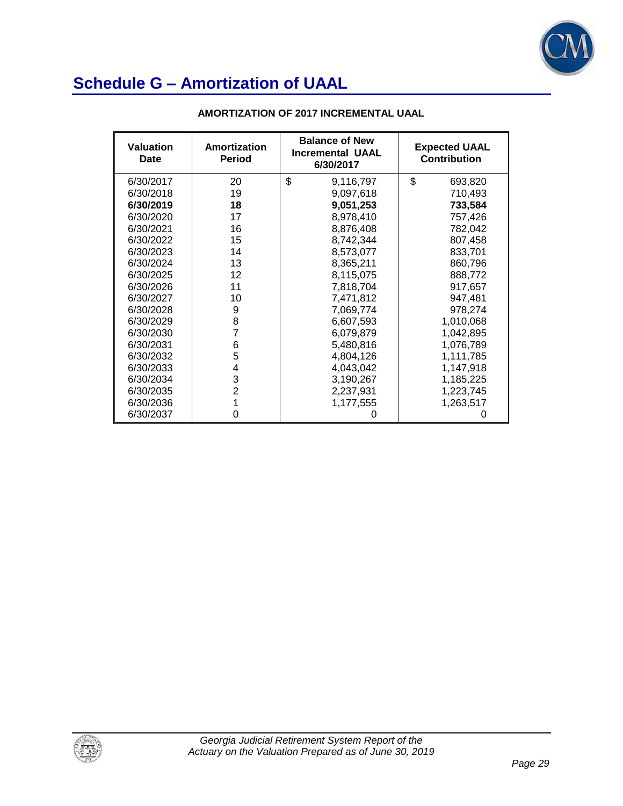

| <b>Valuation</b><br>Date | Amortization<br><b>Period</b> | <b>Balance of New</b><br><b>Incremental UAAL</b><br>6/30/2017 | <b>Expected UAAL</b><br><b>Contribution</b> |
|--------------------------|-------------------------------|---------------------------------------------------------------|---------------------------------------------|
| 6/30/2017                | 20                            | \$<br>9,116,797                                               | \$<br>693,820                               |
| 6/30/2018                | 19                            | 9,097,618                                                     | 710,493                                     |
| 6/30/2019                | 18                            | 9,051,253                                                     | 733,584                                     |
| 6/30/2020                | 17                            | 8,978,410                                                     | 757,426                                     |
| 6/30/2021                | 16                            | 8,876,408                                                     | 782,042                                     |
| 6/30/2022                | 15                            | 8,742,344                                                     | 807,458                                     |
| 6/30/2023                | 14                            | 8,573,077                                                     | 833,701                                     |
| 6/30/2024                | 13                            | 8,365,211                                                     | 860,796                                     |
| 6/30/2025                | 12                            | 8,115,075                                                     | 888,772                                     |
| 6/30/2026                | 11                            | 7,818,704                                                     | 917,657                                     |
| 6/30/2027                | 10                            | 7,471,812                                                     | 947,481                                     |
| 6/30/2028                | 9                             | 7,069,774                                                     | 978,274                                     |
| 6/30/2029                | 8                             | 6,607,593                                                     | 1,010,068                                   |
| 6/30/2030                | 7                             | 6,079,879                                                     | 1,042,895                                   |
| 6/30/2031                | 6                             | 5,480,816                                                     | 1,076,789                                   |
| 6/30/2032                | 5                             | 4,804,126                                                     | 1,111,785                                   |
| 6/30/2033                | 4                             | 4,043,042                                                     | 1,147,918                                   |
| 6/30/2034                | 3                             | 3,190,267                                                     | 1,185,225                                   |
| 6/30/2035                | $\overline{2}$                | 2,237,931                                                     | 1,223,745                                   |
| 6/30/2036                |                               | 1,177,555                                                     | 1,263,517                                   |
| 6/30/2037                | 0                             |                                                               | O                                           |

### **AMORTIZATION OF 2017 INCREMENTAL UAAL**

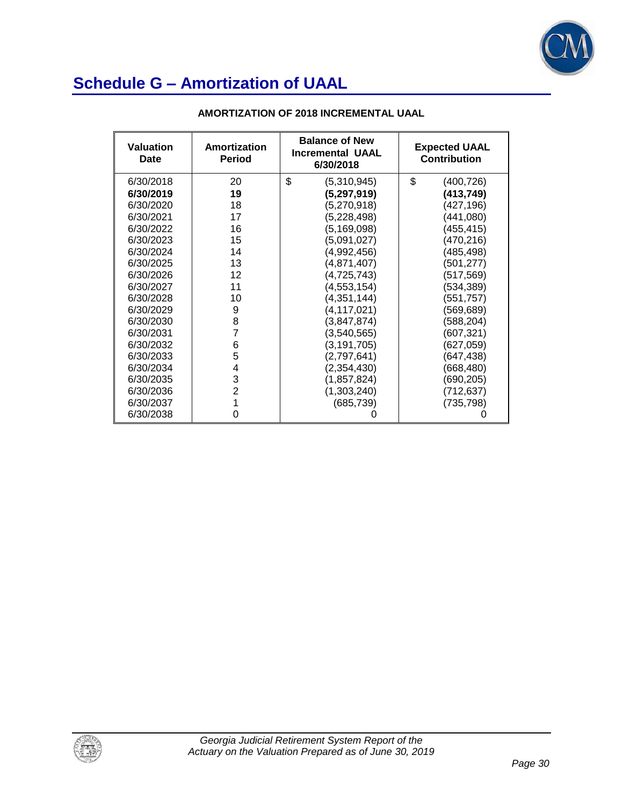

| <b>Valuation</b><br>Date | Amortization<br><b>Period</b> | <b>Balance of New</b><br><b>Incremental UAAL</b><br>6/30/2018 | <b>Expected UAAL</b><br><b>Contribution</b> |
|--------------------------|-------------------------------|---------------------------------------------------------------|---------------------------------------------|
| 6/30/2018                | 20                            | \$<br>(5,310,945)                                             | \$<br>(400,726)                             |
| 6/30/2019                | 19                            | (5, 297, 919)                                                 | (413,749)                                   |
| 6/30/2020                | 18                            | (5,270,918)                                                   | (427,196)                                   |
| 6/30/2021                | 17                            | (5,228,498)                                                   | (441,080)                                   |
| 6/30/2022                | 16                            | (5, 169, 098)                                                 | (455,415)                                   |
| 6/30/2023                | 15                            | (5,091,027)                                                   | (470, 216)                                  |
| 6/30/2024                | 14                            | (4,992,456)                                                   | (485,498)                                   |
| 6/30/2025                | 13                            | (4,871,407)                                                   | (501,277)                                   |
| 6/30/2026                | 12                            | (4, 725, 743)                                                 | (517,569)                                   |
| 6/30/2027                | 11                            | (4, 553, 154)                                                 | (534,389)                                   |
| 6/30/2028                | 10                            | (4,351,144)                                                   | (551, 757)                                  |
| 6/30/2029                | 9                             | (4, 117, 021)                                                 | (569,689)                                   |
| 6/30/2030                | 8                             | (3,847,874)                                                   | (588,204)                                   |
| 6/30/2031                | $\overline{7}$                | (3,540,565)                                                   | (607,321)                                   |
| 6/30/2032                | 6                             | (3, 191, 705)                                                 | (627,059)                                   |
| 6/30/2033                | 5                             | (2,797,641)                                                   | (647,438)                                   |
| 6/30/2034                | 4                             | (2,354,430)                                                   | (668,480)                                   |
| 6/30/2035                | 3                             | (1,857,824)                                                   | (690,205)                                   |
| 6/30/2036                | $\overline{2}$                | (1,303,240)                                                   | (712,637)                                   |
| 6/30/2037                | 1                             | (685, 739)                                                    | (735, 798)                                  |
| 6/30/2038                | 0                             |                                                               |                                             |

### **AMORTIZATION OF 2018 INCREMENTAL UAAL**

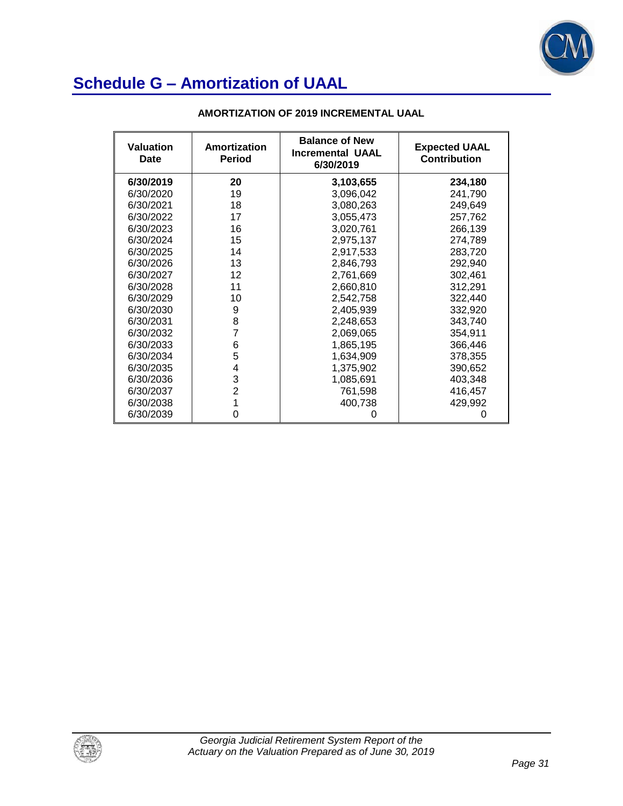

| <b>Valuation</b><br>Date | Amortization<br><b>Period</b> | <b>Balance of New</b><br><b>Incremental UAAL</b><br>6/30/2019 | <b>Expected UAAL</b><br><b>Contribution</b> |
|--------------------------|-------------------------------|---------------------------------------------------------------|---------------------------------------------|
| 6/30/2019                | 20                            | 3,103,655                                                     | 234,180                                     |
| 6/30/2020                | 19                            | 3,096,042                                                     | 241,790                                     |
| 6/30/2021                | 18                            | 3,080,263                                                     | 249,649                                     |
| 6/30/2022                | 17                            | 3,055,473                                                     | 257,762                                     |
| 6/30/2023                | 16                            | 3,020,761                                                     | 266,139                                     |
| 6/30/2024                | 15                            | 2,975,137                                                     | 274,789                                     |
| 6/30/2025                | 14                            | 2,917,533                                                     | 283,720                                     |
| 6/30/2026                | 13                            | 2,846,793                                                     | 292,940                                     |
| 6/30/2027                | 12                            | 2,761,669                                                     | 302,461                                     |
| 6/30/2028                | 11                            | 2,660,810                                                     | 312,291                                     |
| 6/30/2029                | 10                            | 2,542,758                                                     | 322,440                                     |
| 6/30/2030                | 9                             | 2,405,939                                                     | 332,920                                     |
| 6/30/2031                | 8                             | 2,248,653                                                     | 343,740                                     |
| 6/30/2032                | 7                             | 2,069,065                                                     | 354,911                                     |
| 6/30/2033                | 6                             | 1,865,195                                                     | 366,446                                     |
| 6/30/2034                | 5                             | 1,634,909                                                     | 378,355                                     |
| 6/30/2035                | 4                             | 1,375,902                                                     | 390,652                                     |
| 6/30/2036                | 3                             | 1,085,691                                                     | 403,348                                     |
| 6/30/2037                | $\overline{2}$                | 761,598                                                       | 416,457                                     |
| 6/30/2038                |                               | 400,738                                                       | 429,992                                     |
| 6/30/2039                | Ω                             |                                                               |                                             |

### **AMORTIZATION OF 2019 INCREMENTAL UAAL**

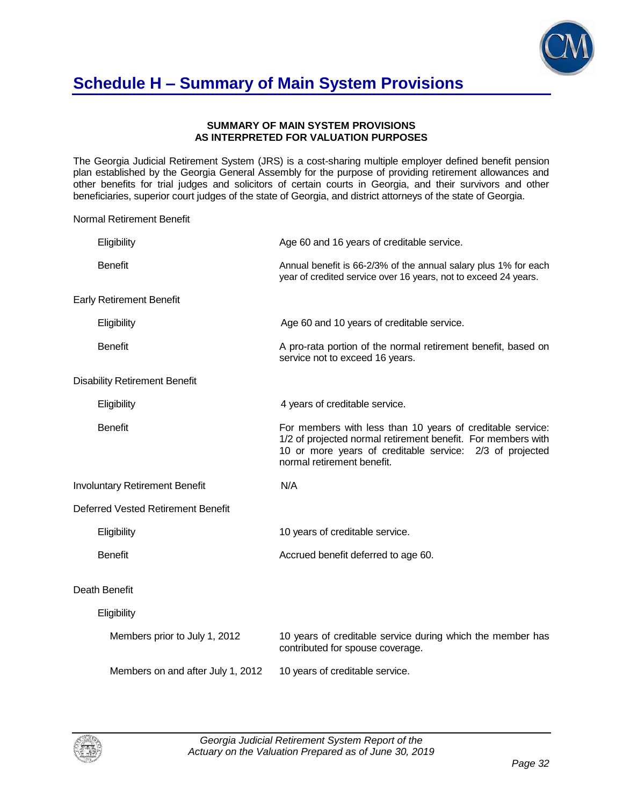

### **Schedule H – Summary of Main System Provisions**

#### **SUMMARY OF MAIN SYSTEM PROVISIONS AS INTERPRETED FOR VALUATION PURPOSES**

The Georgia Judicial Retirement System (JRS) is a cost-sharing multiple employer defined benefit pension plan established by the Georgia General Assembly for the purpose of providing retirement allowances and other benefits for trial judges and solicitors of certain courts in Georgia, and their survivors and other beneficiaries, superior court judges of the state of Georgia, and district attorneys of the state of Georgia.

Normal Retirement Benefit

| Eligibility    |                                       | Age 60 and 16 years of creditable service.                                                                                                                                                                           |
|----------------|---------------------------------------|----------------------------------------------------------------------------------------------------------------------------------------------------------------------------------------------------------------------|
| <b>Benefit</b> |                                       | Annual benefit is 66-2/3% of the annual salary plus 1% for each<br>year of credited service over 16 years, not to exceed 24 years.                                                                                   |
|                | <b>Early Retirement Benefit</b>       |                                                                                                                                                                                                                      |
| Eligibility    |                                       | Age 60 and 10 years of creditable service.                                                                                                                                                                           |
| <b>Benefit</b> |                                       | A pro-rata portion of the normal retirement benefit, based on<br>service not to exceed 16 years.                                                                                                                     |
|                | <b>Disability Retirement Benefit</b>  |                                                                                                                                                                                                                      |
| Eligibility    |                                       | 4 years of creditable service.                                                                                                                                                                                       |
| <b>Benefit</b> |                                       | For members with less than 10 years of creditable service:<br>1/2 of projected normal retirement benefit. For members with<br>10 or more years of creditable service: 2/3 of projected<br>normal retirement benefit. |
|                | <b>Involuntary Retirement Benefit</b> | N/A                                                                                                                                                                                                                  |
|                | Deferred Vested Retirement Benefit    |                                                                                                                                                                                                                      |
| Eligibility    |                                       | 10 years of creditable service.                                                                                                                                                                                      |
| <b>Benefit</b> |                                       | Accrued benefit deferred to age 60.                                                                                                                                                                                  |
| Death Benefit  |                                       |                                                                                                                                                                                                                      |
| Eligibility    |                                       |                                                                                                                                                                                                                      |
|                | Members prior to July 1, 2012         | 10 years of creditable service during which the member has<br>contributed for spouse coverage.                                                                                                                       |
|                | Members on and after July 1, 2012     | 10 years of creditable service.                                                                                                                                                                                      |

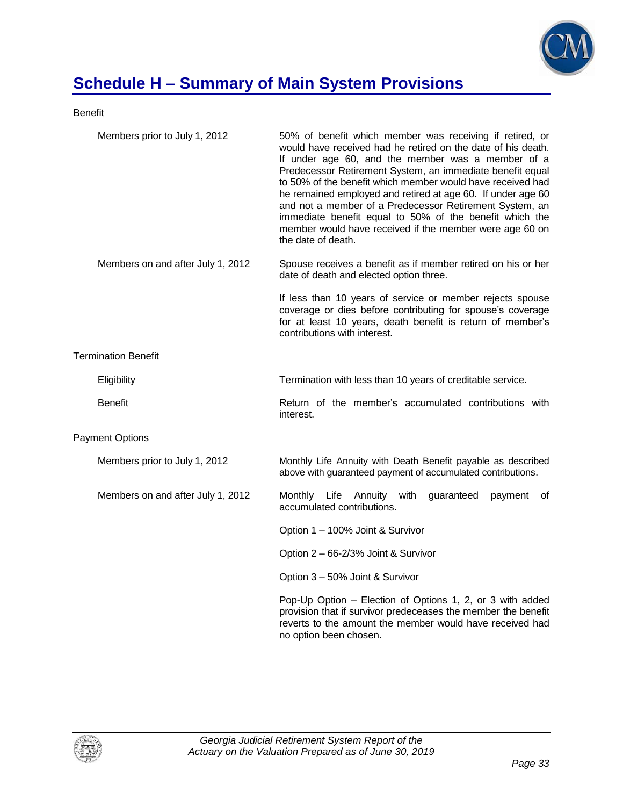

# **Schedule H – Summary of Main System Provisions**

Benefit

| Members prior to July 1, 2012     | 50% of benefit which member was receiving if retired, or<br>would have received had he retired on the date of his death.<br>If under age 60, and the member was a member of a<br>Predecessor Retirement System, an immediate benefit equal<br>to 50% of the benefit which member would have received had<br>he remained employed and retired at age 60. If under age 60<br>and not a member of a Predecessor Retirement System, an<br>immediate benefit equal to 50% of the benefit which the<br>member would have received if the member were age 60 on<br>the date of death. |
|-----------------------------------|--------------------------------------------------------------------------------------------------------------------------------------------------------------------------------------------------------------------------------------------------------------------------------------------------------------------------------------------------------------------------------------------------------------------------------------------------------------------------------------------------------------------------------------------------------------------------------|
| Members on and after July 1, 2012 | Spouse receives a benefit as if member retired on his or her<br>date of death and elected option three.                                                                                                                                                                                                                                                                                                                                                                                                                                                                        |
|                                   | If less than 10 years of service or member rejects spouse<br>coverage or dies before contributing for spouse's coverage<br>for at least 10 years, death benefit is return of member's<br>contributions with interest.                                                                                                                                                                                                                                                                                                                                                          |
| <b>Termination Benefit</b>        |                                                                                                                                                                                                                                                                                                                                                                                                                                                                                                                                                                                |
| Eligibility                       | Termination with less than 10 years of creditable service.                                                                                                                                                                                                                                                                                                                                                                                                                                                                                                                     |
| <b>Benefit</b>                    | Return of the member's accumulated contributions with<br>interest.                                                                                                                                                                                                                                                                                                                                                                                                                                                                                                             |
| <b>Payment Options</b>            |                                                                                                                                                                                                                                                                                                                                                                                                                                                                                                                                                                                |
| Members prior to July 1, 2012     | Monthly Life Annuity with Death Benefit payable as described<br>above with guaranteed payment of accumulated contributions.                                                                                                                                                                                                                                                                                                                                                                                                                                                    |
| Members on and after July 1, 2012 | Monthly Life<br>Annuity with<br>guaranteed<br>payment<br>οf<br>accumulated contributions.                                                                                                                                                                                                                                                                                                                                                                                                                                                                                      |
|                                   | Option 1 - 100% Joint & Survivor                                                                                                                                                                                                                                                                                                                                                                                                                                                                                                                                               |
|                                   | Option 2 - 66-2/3% Joint & Survivor                                                                                                                                                                                                                                                                                                                                                                                                                                                                                                                                            |
|                                   | Option 3 - 50% Joint & Survivor                                                                                                                                                                                                                                                                                                                                                                                                                                                                                                                                                |
|                                   | Pop-Up Option - Election of Options 1, 2, or 3 with added<br>provision that if survivor predeceases the member the benefit<br>reverts to the amount the member would have received had<br>no option been chosen.                                                                                                                                                                                                                                                                                                                                                               |

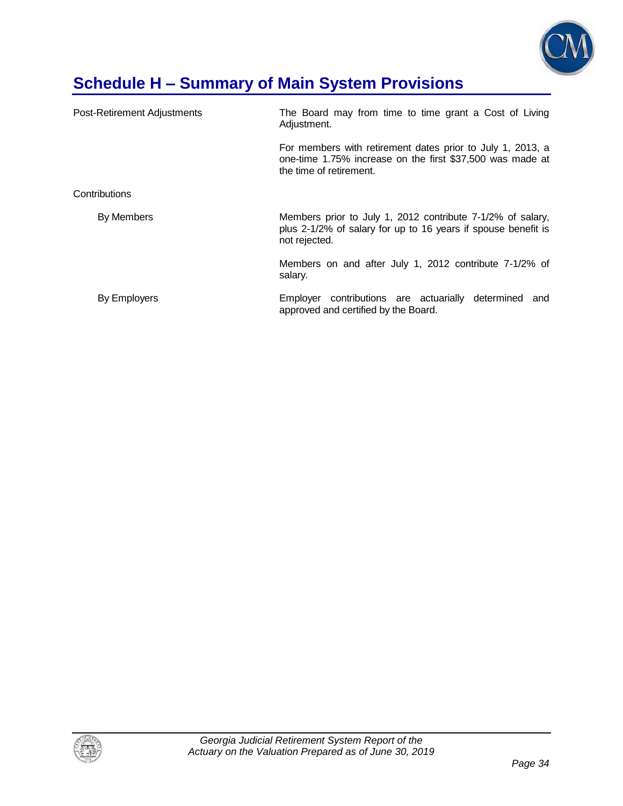

# **Schedule H – Summary of Main System Provisions**

| Post-Retirement Adjustments | The Board may from time to time grant a Cost of Living<br>Adjustment.                                                                              |  |  |  |  |
|-----------------------------|----------------------------------------------------------------------------------------------------------------------------------------------------|--|--|--|--|
|                             | For members with retirement dates prior to July 1, 2013, a<br>one-time 1.75% increase on the first \$37,500 was made at<br>the time of retirement. |  |  |  |  |
| Contributions               |                                                                                                                                                    |  |  |  |  |
| By Members                  | Members prior to July 1, 2012 contribute 7-1/2% of salary,<br>plus 2-1/2% of salary for up to 16 years if spouse benefit is<br>not rejected.       |  |  |  |  |
|                             | Members on and after July 1, 2012 contribute 7-1/2% of<br>salary.                                                                                  |  |  |  |  |
| By Employers                | Employer contributions are actuarially<br>determined<br>and<br>approved and certified by the Board.                                                |  |  |  |  |

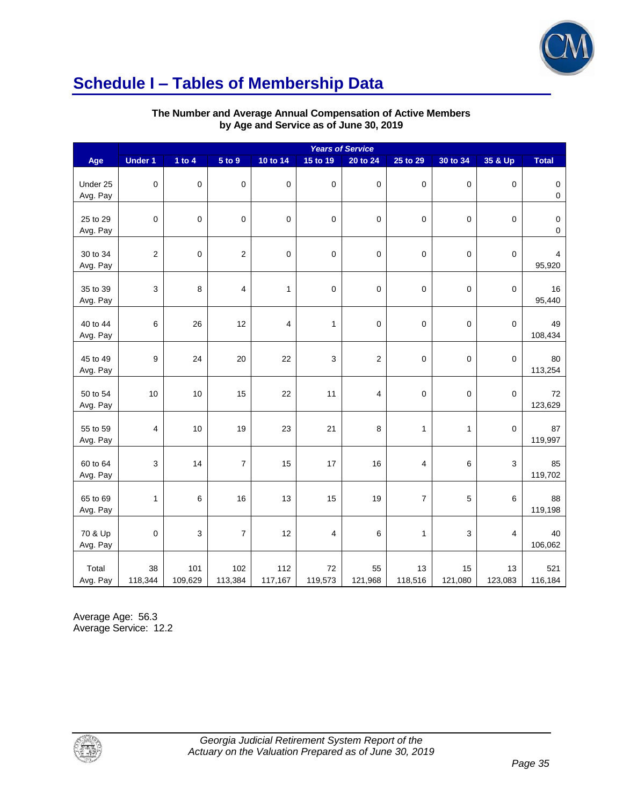

## **Schedule I – Tables of Membership Data**

|  |                                        | The Number and Average Annual Compensation of Active Members |
|--|----------------------------------------|--------------------------------------------------------------|
|  | by Age and Service as of June 30, 2019 |                                                              |

|                      | <b>Years of Service</b> |                |                  |                         |                |                         |                |               |                |                          |
|----------------------|-------------------------|----------------|------------------|-------------------------|----------------|-------------------------|----------------|---------------|----------------|--------------------------|
| Age                  | <b>Under 1</b>          | 1 to $4$       | 5 to 9           | 10 to 14                | 15 to 19       | 20 to 24                | 25 to 29       | 30 to 34      | 35 & Up        | <b>Total</b>             |
| Under 25<br>Avg. Pay | $\mathbf 0$             | 0              | $\boldsymbol{0}$ | $\boldsymbol{0}$        | $\mathbf 0$    | $\boldsymbol{0}$        | $\pmb{0}$      | 0             | $\mathbf 0$    | $\pmb{0}$<br>$\mathsf 0$ |
| 25 to 29<br>Avg. Pay | $\pmb{0}$               | $\pmb{0}$      | $\boldsymbol{0}$ | $\mathbf 0$             | $\mathbf 0$    | $\boldsymbol{0}$        | $\pmb{0}$      | 0             | $\mathbf 0$    | $\pmb{0}$<br>$\pmb{0}$   |
| 30 to 34<br>Avg. Pay | $\sqrt{2}$              | $\pmb{0}$      | $\boldsymbol{2}$ | $\mathbf 0$             | $\mathbf 0$    | $\boldsymbol{0}$        | $\mathbf 0$    | 0             | $\mathbf 0$    | $\overline{4}$<br>95,920 |
| 35 to 39<br>Avg. Pay | 3                       | 8              | 4                | 1                       | $\mathbf 0$    | $\pmb{0}$               | $\pmb{0}$      | $\mathsf 0$   | $\mathbf 0$    | 16<br>95,440             |
| 40 to 44<br>Avg. Pay | 6                       | 26             | 12               | $\overline{\mathbf{4}}$ | 1              | $\pmb{0}$               | $\mathbf 0$    | $\mathsf 0$   | $\mathbf 0$    | 49<br>108,434            |
| 45 to 49<br>Avg. Pay | 9                       | 24             | 20               | 22                      | 3              | $\overline{\mathbf{c}}$ | $\mathbf 0$    | 0             | 0              | 80<br>113,254            |
| 50 to 54<br>Avg. Pay | 10                      | 10             | 15               | 22                      | 11             | 4                       | $\mathbf 0$    | 0             | $\pmb{0}$      | 72<br>123,629            |
| 55 to 59<br>Avg. Pay | 4                       | 10             | 19               | 23                      | 21             | 8                       | 1              | 1             | $\mathbf 0$    | 87<br>119,997            |
| 60 to 64<br>Avg. Pay | 3                       | 14             | $\overline{7}$   | 15                      | 17             | 16                      | $\overline{4}$ | 6             | 3              | 85<br>119,702            |
| 65 to 69<br>Avg. Pay | 1                       | $\,6$          | 16               | 13                      | 15             | 19                      | $\overline{7}$ | 5             | 6              | 88<br>119,198            |
| 70 & Up<br>Avg. Pay  | 0                       | 3              | $\overline{7}$   | 12                      | $\overline{4}$ | 6                       | $\mathbf{1}$   | 3             | $\overline{4}$ | 40<br>106,062            |
| Total<br>Avg. Pay    | 38<br>118,344           | 101<br>109,629 | 102<br>113,384   | 112<br>117,167          | 72<br>119,573  | 55<br>121,968           | 13<br>118,516  | 15<br>121,080 | 13<br>123,083  | 521<br>116,184           |

Average Age: 56.3 Average Service: 12.2

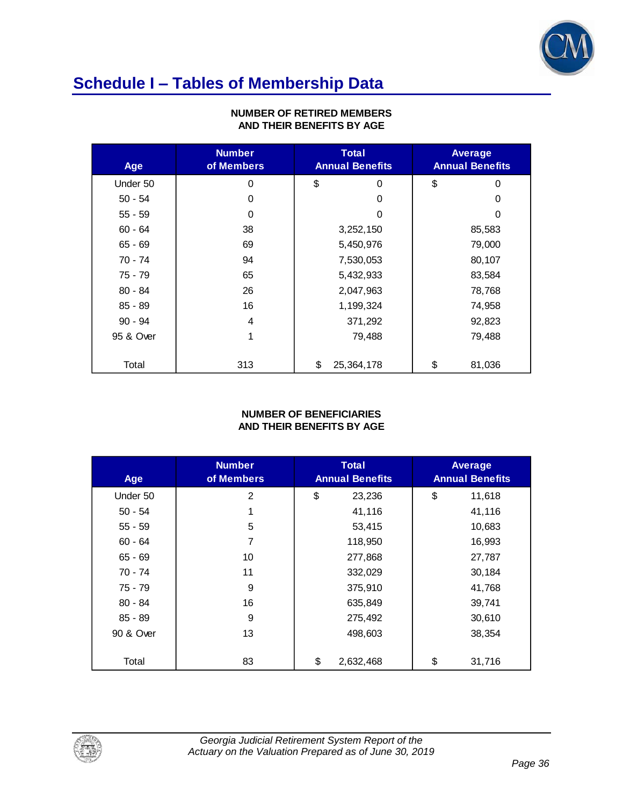

# **Schedule I – Tables of Membership Data**

| Age       | <b>Number</b><br>of Members | <b>Total</b><br><b>Annual Benefits</b> | Average<br><b>Annual Benefits</b> |
|-----------|-----------------------------|----------------------------------------|-----------------------------------|
| Under 50  | $\Omega$                    | \$<br>0                                | \$<br>$\Omega$                    |
| $50 - 54$ | 0                           | 0                                      | 0                                 |
| $55 - 59$ | 0                           | 0                                      | 0                                 |
| $60 - 64$ | 38                          | 3,252,150                              | 85,583                            |
| $65 - 69$ | 69                          | 5,450,976                              | 79,000                            |
| 70 - 74   | 94                          | 7,530,053                              | 80,107                            |
| 75 - 79   | 65                          | 5,432,933                              | 83,584                            |
| $80 - 84$ | 26                          | 2,047,963                              | 78,768                            |
| $85 - 89$ | 16                          | 1,199,324                              | 74,958                            |
| $90 - 94$ | 4                           | 371,292                                | 92,823                            |
| 95 & Over | 1                           | 79,488                                 | 79,488                            |
|           |                             |                                        |                                   |
| Total     | 313                         | \$<br>25,364,178                       | \$<br>81,036                      |

#### **NUMBER OF RETIRED MEMBERS AND THEIR BENEFITS BY AGE**

#### **NUMBER OF BENEFICIARIES AND THEIR BENEFITS BY AGE**

| Age       | <b>Number</b><br>of Members | <b>Total</b><br><b>Annual Benefits</b> | Average<br><b>Annual Benefits</b> |
|-----------|-----------------------------|----------------------------------------|-----------------------------------|
| Under 50  | $\overline{2}$              | \$<br>23,236                           | \$<br>11,618                      |
| $50 - 54$ | 1                           | 41,116                                 | 41,116                            |
| $55 - 59$ | 5                           | 53,415                                 | 10,683                            |
| $60 - 64$ | 7                           | 118,950                                | 16,993                            |
| $65 - 69$ | 10                          | 277,868                                | 27,787                            |
| 70 - 74   | 11                          | 332,029                                | 30,184                            |
| 75 - 79   | 9                           | 375,910                                | 41,768                            |
| $80 - 84$ | 16                          | 635,849                                | 39,741                            |
| $85 - 89$ | 9                           | 275,492                                | 30,610                            |
| 90 & Over | 13                          | 498,603                                | 38,354                            |
| Total     | 83                          | \$<br>2,632,468                        | \$<br>31,716                      |

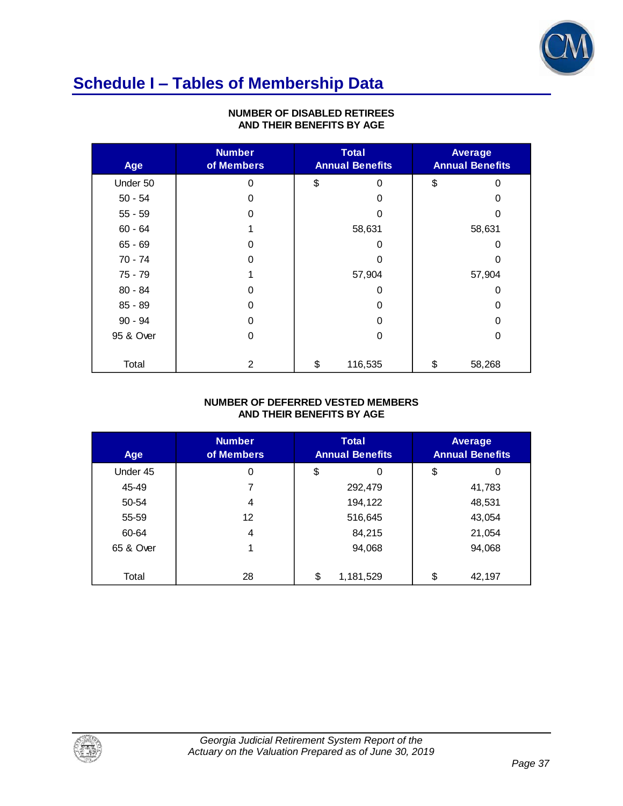

## **Schedule I – Tables of Membership Data**

| Age       | <b>Number</b><br>of Members | <b>Total</b><br><b>Annual Benefits</b> | Average<br><b>Annual Benefits</b> |
|-----------|-----------------------------|----------------------------------------|-----------------------------------|
| Under 50  | $\Omega$                    | \$<br>0                                | \$<br>$\Omega$                    |
| $50 - 54$ | 0                           | 0                                      | 0                                 |
| $55 - 59$ | 0                           | O                                      | O                                 |
| $60 - 64$ |                             | 58,631                                 | 58,631                            |
| $65 - 69$ | 0                           | O                                      | 0                                 |
| 70 - 74   | 0                           | 0                                      | 0                                 |
| 75 - 79   |                             | 57,904                                 | 57,904                            |
| $80 - 84$ | 0                           | 0                                      | 0                                 |
| $85 - 89$ | 0                           | 0                                      | 0                                 |
| $90 - 94$ | 0                           | 0                                      | 0                                 |
| 95 & Over | 0                           | 0                                      | 0                                 |
|           |                             |                                        |                                   |
| Total     | 2                           | \$<br>116,535                          | \$<br>58,268                      |

#### **NUMBER OF DISABLED RETIREES AND THEIR BENEFITS BY AGE**

#### **NUMBER OF DEFERRED VESTED MEMBERS AND THEIR BENEFITS BY AGE**

| Age       | <b>Number</b><br>of Members | <b>Total</b><br><b>Annual Benefits</b> |           | Average<br><b>Annual Benefits</b> |
|-----------|-----------------------------|----------------------------------------|-----------|-----------------------------------|
| Under 45  | 0                           | \$                                     | 0         | \$<br>0                           |
| 45-49     | 7                           |                                        | 292,479   | 41,783                            |
| 50-54     | 4                           |                                        | 194,122   | 48,531                            |
| 55-59     | 12                          |                                        | 516,645   | 43,054                            |
| 60-64     | 4                           |                                        | 84,215    | 21,054                            |
| 65 & Over |                             |                                        | 94,068    | 94,068                            |
|           |                             |                                        |           |                                   |
| Total     | 28                          | \$                                     | 1,181,529 | \$<br>42,197                      |